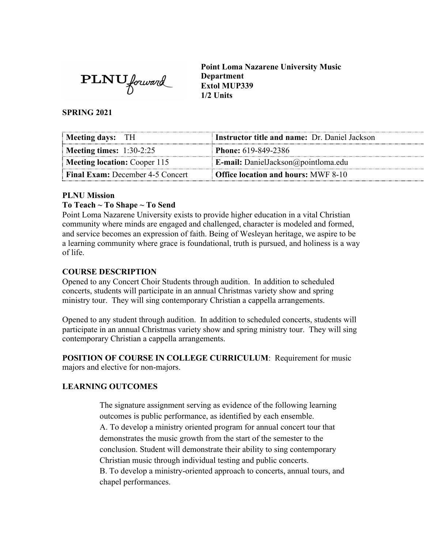

**Point Loma Nazarene University Music Department Extol MUP339 1/2 Units**

**SPRING 2021**

| Meeting days: TH                        | Instructor title and name: Dr. Daniel Jackson |
|-----------------------------------------|-----------------------------------------------|
| Meeting times: $1:30-2:25$              | <b>Phone:</b> 619-849-2386                    |
| <b>Meeting location:</b> Cooper 115     | <b>E-mail:</b> DanielJackson@pointloma.edu    |
| <b>Final Exam:</b> December 4-5 Concert | <b>Office location and hours: MWF 8-10</b>    |

#### **PLNU Mission**

#### **To Teach ~ To Shape ~ To Send**

Point Loma Nazarene University exists to provide higher education in a vital Christian community where minds are engaged and challenged, character is modeled and formed, and service becomes an expression of faith. Being of Wesleyan heritage, we aspire to be a learning community where grace is foundational, truth is pursued, and holiness is a way of life.

### **COURSE DESCRIPTION**

Opened to any Concert Choir Students through audition. In addition to scheduled concerts, students will participate in an annual Christmas variety show and spring ministry tour. They will sing contemporary Christian a cappella arrangements.

Opened to any student through audition. In addition to scheduled concerts, students will participate in an annual Christmas variety show and spring ministry tour. They will sing contemporary Christian a cappella arrangements.

**POSITION OF COURSE IN COLLEGE CURRICULUM**: Requirement for music majors and elective for non-majors.

### **LEARNING OUTCOMES**

The signature assignment serving as evidence of the following learning outcomes is public performance, as identified by each ensemble.

A. To develop a ministry oriented program for annual concert tour that demonstrates the music growth from the start of the semester to the conclusion. Student will demonstrate their ability to sing contemporary Christian music through individual testing and public concerts.

B. To develop a ministry-oriented approach to concerts, annual tours, and chapel performances.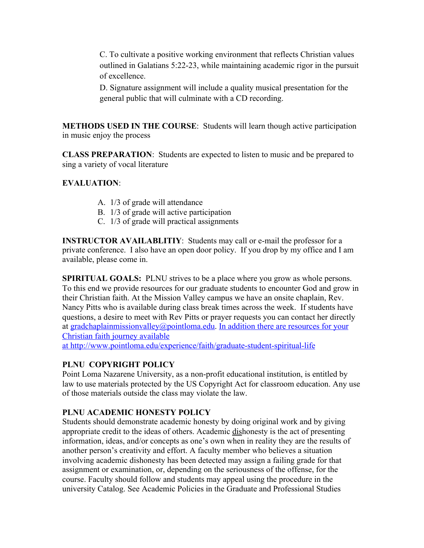C. To cultivate a positive working environment that reflects Christian values outlined in Galatians 5:22-23, while maintaining academic rigor in the pursuit of excellence.

D. Signature assignment will include a quality musical presentation for the general public that will culminate with a CD recording.

**METHODS USED IN THE COURSE**: Students will learn though active participation in music enjoy the process

**CLASS PREPARATION**: Students are expected to listen to music and be prepared to sing a variety of vocal literature

### **EVALUATION**:

- A. 1/3 of grade will attendance
- B. 1/3 of grade will active participation
- C. 1/3 of grade will practical assignments

**INSTRUCTOR AVAILABLITIY:** Students may call or e-mail the professor for a private conference. I also have an open door policy. If you drop by my office and I am available, please come in.

**SPIRITUAL GOALS:** PLNU strives to be a place where you grow as whole persons. To this end we provide resources for our graduate students to encounter God and grow in their Christian faith. At the Mission Valley campus we have an onsite chaplain, Rev. Nancy Pitts who is available during class break times across the week. If students have questions, a desire to meet with Rev Pitts or prayer requests you can contact her directly at [gradchaplainmissionvalley@pointloma.edu](mailto:gradchaplainmissionvalley@pointloma.edu). In addition there are resources for your Christian faith journey available

at http://www.pointloma.edu/experience/faith/graduate-student-spiritual-life

### **PLNU COPYRIGHT POLICY**

Point Loma Nazarene University, as a non-profit educational institution, is entitled by law to use materials protected by the US Copyright Act for classroom education. Any use of those materials outside the class may violate the law.

### **PLNU ACADEMIC HONESTY POLICY**

Students should demonstrate academic honesty by doing original work and by giving appropriate credit to the ideas of others. Academic dishonesty is the act of presenting information, ideas, and/or concepts as one's own when in reality they are the results of another person's creativity and effort. A faculty member who believes a situation involving academic dishonesty has been detected may assign a failing grade for that assignment or examination, or, depending on the seriousness of the offense, for the course. Faculty should follow and students may appeal using the procedure in the university Catalog. See Academic Policies in the Graduate and Professional Studies